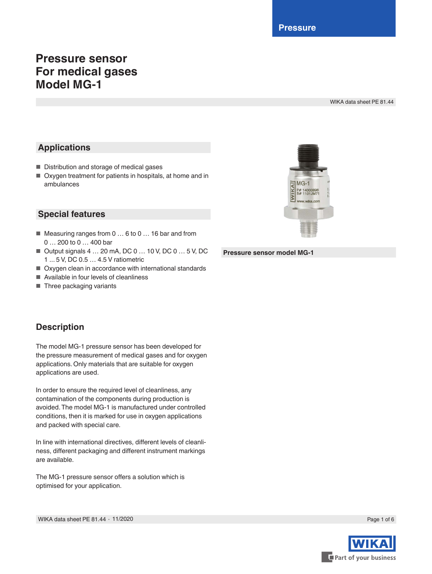**Pressure**

 $MG-1$ 

# **Pressure sensor For medical gases Model MG-1**

WIKA data sheet PE 81.44

## **Applications**

- Distribution and storage of medical gases
- Oxygen treatment for patients in hospitals, at home and in ambulances



- Measuring ranges from 0 ... 6 to 0 ... 16 bar and from 0 … 200 to 0 … 400 bar
- Output signals 4 ... 20 mA, DC 0 ... 10 V, DC 0 ... 5 V, DC 1 ... 5 V, DC 0.5 … 4.5 V ratiometric
- Oxygen clean in accordance with international standards
- Available in four levels of cleanliness
- Three packaging variants

# **Description**

The model MG-1 pressure sensor has been developed for the pressure measurement of medical gases and for oxygen applications. Only materials that are suitable for oxygen applications are used.

In order to ensure the required level of cleanliness, any contamination of the components during production is avoided. The model MG-1 is manufactured under controlled conditions, then it is marked for use in oxygen applications and packed with special care.

In line with international directives, different levels of cleanliness, different packaging and different instrument markings are available.

The MG-1 pressure sensor offers a solution which is optimised for your application.



**Pressure sensor model MG-1**

Page 1 of 6

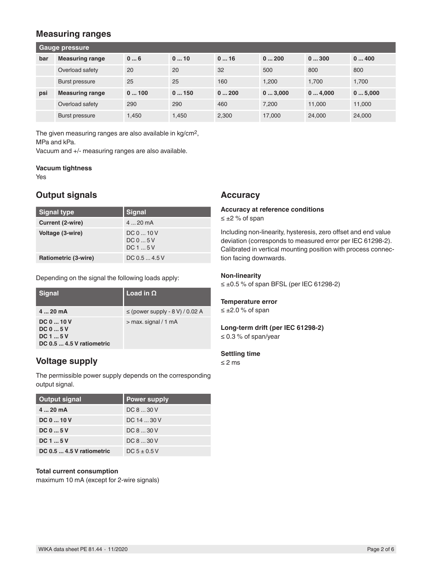### **Measuring ranges**

| Gauge pressure |                        |       |       |       |        |        |        |
|----------------|------------------------|-------|-------|-------|--------|--------|--------|
| bar            | <b>Measuring range</b> | 06    | 010   | 016   | 0200   | 0300   | 0400   |
|                | Overload safety        | 20    | 20    | 32    | 500    | 800    | 800    |
|                | <b>Burst pressure</b>  | 25    | 25    | 160   | 1.200  | 1.700  | 1.700  |
| psi            | <b>Measuring range</b> | 0100  | 0150  | 0200  | 03,000 | 04,000 | 05,000 |
|                | Overload safety        | 290   | 290   | 460   | 7.200  | 11.000 | 11.000 |
|                | Burst pressure         | 1.450 | 1.450 | 2,300 | 17,000 | 24,000 | 24,000 |

The given measuring ranges are also available in kg/cm2, MPa and kPa.

Vacuum and +/- measuring ranges are also available.

#### **Vacuum tightness**

Yes

### **Output signals**

| <b>Signal type</b>   | <b>Signal</b>                |
|----------------------|------------------------------|
| Current (2-wire)     | $420$ mA                     |
| Voltage (3-wire)     | DC 0  10 V<br>DC05V<br>DC15V |
| Ratiometric (3-wire) | DC 0.5  4.5 V                |

Depending on the signal the following loads apply:

| <b>Signal</b>                                                    | Load in $\Omega$                    |
|------------------------------------------------------------------|-------------------------------------|
| 420mA                                                            | $\le$ (power supply - 8 V) / 0.02 A |
| $DC0$ 10 V<br>$DC_05V$<br>DC 1  5 V<br>DC 0.5  4.5 V ratiometric | $>$ max. signal $/$ 1 mA            |

### **Voltage supply**

The permissible power supply depends on the corresponding output signal.

| <b>Output signal</b>      | <b>Power supply</b> |
|---------------------------|---------------------|
| $420 \text{ mA}$          | DC 8  30 V          |
| $DC_010V$                 | DC 14 30 V          |
| $DC_05V$                  | DC 8  30 V          |
| DC 1  5 V                 | DC 8  30 V          |
| DC 0.5  4.5 V ratiometric | $DC 5 + 0.5 V$      |

#### **Total current consumption**

maximum 10 mA (except for 2-wire signals)

### **Accuracy**

#### **Accuracy at reference conditions** ≤ ±2 % of span

Including non-linearity, hysteresis, zero offset and end value deviation (corresponds to measured error per IEC 61298-2).

Calibrated in vertical mounting position with process connection facing downwards.

#### **Non-linearity**

≤ ±0.5 % of span BFSL (per IEC 61298-2)

### **Temperature error**

≤ ±2.0 % of span

# **Long-term drift (per IEC 61298-2)**

≤ 0.3 % of span/year

#### **Settling time**

≤ 2 ms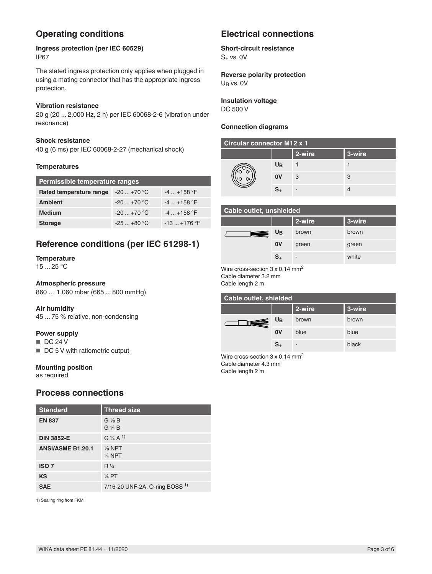# **Operating conditions**

**Ingress protection (per IEC 60529)** IP67

The stated ingress protection only applies when plugged in using a mating connector that has the appropriate ingress protection.

### **Vibration resistance**

20 g (20 ... 2,000 Hz, 2 h) per IEC 60068-2-6 (vibration under resonance)

#### **Shock resistance**

40 g (6 ms) per IEC 60068-2-27 (mechanical shock)

#### **Temperatures**

| Permissible temperature ranges |                |                |  |  |
|--------------------------------|----------------|----------------|--|--|
| Rated temperature range        | $-20+70$ °C    | $-4+158$ °F    |  |  |
| <b>Ambient</b>                 | $-20+70$ °C    | $-4$ $+158$ °F |  |  |
| <b>Medium</b>                  | $-20 - +70$ °C | $-4$ $+158$ °F |  |  |
| <b>Storage</b>                 | $-25+80 °C$    | $-13+176$ °F   |  |  |

## **Reference conditions (per IEC 61298-1)**

# **Temperature**

15 ... 25 °C

#### **Atmospheric pressure**

860 … 1,060 mbar (665 ... 800 mmHg)

#### **Air humidity**

45 ... 75 % relative, non-condensing

#### **Power supply**

- DC 24 V
- DC 5 V with ratiometric output

#### **Mounting position**

as required

### **Process connections**

| <b>Standard</b>          | <b>Thread size</b>                                      |
|--------------------------|---------------------------------------------------------|
| <b>EN 837</b>            | $G\frac{1}{8}B$<br>$G\mathrel{\mathrel{\mathcal{H}}} B$ |
| <b>DIN 3852-E</b>        | $G$ 1/4 A <sup>1</sup>                                  |
| <b>ANSI/ASME B1.20.1</b> | $\frac{1}{8}$ NPT<br>$\frac{1}{4}$ NPT                  |
| <b>ISO 7</b>             | $R\frac{1}{4}$                                          |
| <b>KS</b>                | $\frac{1}{4}$ PT                                        |
| <b>SAE</b>               | 7/16-20 UNF-2A, O-ring BOSS $1$ )                       |

1) Sealing ring from FKM

## **Electrical connections**

### **Short-circuit resistance**

 $S_{+}$  vs. 0V

**Reverse polarity protection** U<sub>B</sub> vs. 0V

**Insulation voltage** DC 500 V

#### **Connection diagrams**

| <b>Circular connector M12 x 1</b> |                  |        |        |  |  |
|-----------------------------------|------------------|--------|--------|--|--|
|                                   |                  | 2-wire | 3-wire |  |  |
|                                   | $U_{\mathbf{B}}$ |        |        |  |  |
|                                   | 0V               | 3      | 3      |  |  |
|                                   | s.               |        |        |  |  |

### **Cable outlet, unshielded**

|                | 2-wire                   | 3-wire |
|----------------|--------------------------|--------|
| $U_B$          | brown                    | brown  |
| 0V             | green                    | green  |
| $\mathsf{s}_*$ | $\overline{\phantom{a}}$ | white  |

Wire cross-section 3 x 0.14 mm<sup>2</sup> Cable diameter 3.2 mm Cable length 2 m

| Cable outlet, shielded |                |        |        |  |  |
|------------------------|----------------|--------|--------|--|--|
|                        |                | 2-wire | 3-wire |  |  |
|                        | U <sub>B</sub> | brown  | brown  |  |  |
|                        | 0V             | blue   | blue   |  |  |
|                        | $S_{+}$        | -      | black  |  |  |

Wire cross-section 3 x 0.14 mm<sup>2</sup> Cable diameter 4.3 mm Cable length 2 m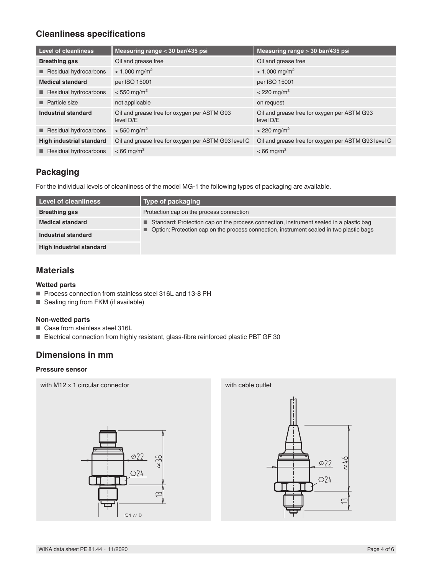# **Cleanliness specifications**

| <b>Level of cleanliness</b>     | Measuring range < 30 bar/435 psi                         | Measuring range > 30 bar/435 psi                         |
|---------------------------------|----------------------------------------------------------|----------------------------------------------------------|
| <b>Breathing gas</b>            | Oil and grease free                                      | Oil and grease free                                      |
| Residual hydrocarbons           | $<$ 1,000 mg/m <sup>2</sup>                              | $<$ 1,000 mg/m <sup>2</sup>                              |
| <b>Medical standard</b>         | per ISO 15001                                            | per ISO 15001                                            |
| Residual hydrocarbons           | $< 550$ mg/m <sup>2</sup>                                | $<$ 220 mg/m <sup>2</sup>                                |
| <b>Particle size</b>            | not applicable                                           | on request                                               |
| Industrial standard             | Oil and grease free for oxygen per ASTM G93<br>level D/E | Oil and grease free for oxygen per ASTM G93<br>level D/E |
| Residual hydrocarbons           | $< 550$ mg/m <sup>2</sup>                                | $< 220$ mg/m <sup>2</sup>                                |
| <b>High industrial standard</b> | Oil and grease free for oxygen per ASTM G93 level C      | Oil and grease free for oxygen per ASTM G93 level C      |
| Residual hydrocarbons           | $< 66$ mg/m <sup>2</sup>                                 | $< 66$ mg/m <sup>2</sup>                                 |

# **Packaging**

For the individual levels of cleanliness of the model MG-1 the following types of packaging are available.

| Level of cleanliness            | Type of packaging                                                                         |  |  |  |
|---------------------------------|-------------------------------------------------------------------------------------------|--|--|--|
| <b>Breathing gas</b>            | Protection cap on the process connection                                                  |  |  |  |
| <b>Medical standard</b>         | Standard: Protection cap on the process connection, instrument sealed in a plastic bag    |  |  |  |
| Industrial standard             | • Option: Protection cap on the process connection, instrument sealed in two plastic bags |  |  |  |
| <b>High industrial standard</b> |                                                                                           |  |  |  |

## **Materials**

### **Wetted parts**

- Process connection from stainless steel 316L and 13-8 PH
- Sealing ring from FKM (if available)

### **Non-wetted parts**

- Case from stainless steel 316L
- Electrical connection from highly resistant, glass-fibre reinforced plastic PBT GF 30

# **Dimensions in mm**

### **Pressure sensor**

with M12 x 1 circular connector with Cable outlet



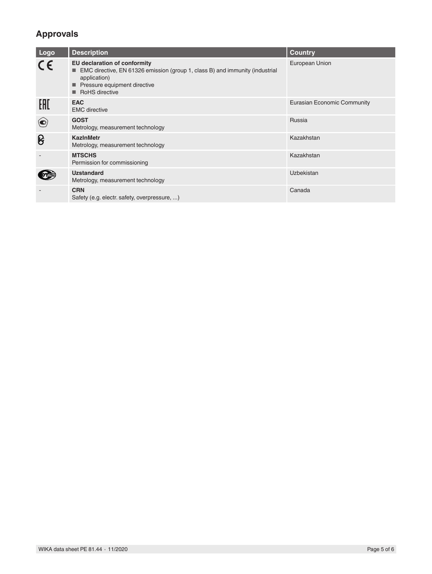# **Approvals**

| Logo                     | <b>Description</b>                                                                                                                                                                      | <b>Country</b>              |
|--------------------------|-----------------------------------------------------------------------------------------------------------------------------------------------------------------------------------------|-----------------------------|
| $\epsilon$               | <b>EU declaration of conformity</b><br>■ EMC directive, EN 61326 emission (group 1, class B) and immunity (industrial<br>application)<br>Pressure equipment directive<br>RoHS directive | European Union              |
| EAC                      | <b>EAC</b><br><b>EMC</b> directive                                                                                                                                                      | Eurasian Economic Community |
| $\left( \bullet \right)$ | <b>GOST</b><br>Metrology, measurement technology                                                                                                                                        | Russia                      |
| ၆                        | <b>KazinMetr</b><br>Metrology, measurement technology                                                                                                                                   | Kazakhstan                  |
|                          | <b>MTSCHS</b><br>Permission for commissioning                                                                                                                                           | Kazakhstan                  |
|                          | <b>Uzstandard</b><br>Metrology, measurement technology                                                                                                                                  | Uzbekistan                  |
|                          | <b>CRN</b><br>Safety (e.g. electr. safety, overpressure, )                                                                                                                              | Canada                      |